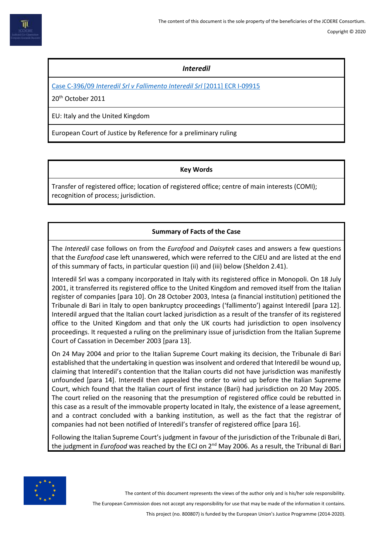## *Interedil*

Case C-396/09 *[Interedil Srl v Fallimento Interedil Srl](https://eur-lex.europa.eu/legal-content/EN/TXT/PDF/?uri=CELEX:62009CJ0396&from=EN)* [2011] ECR I-09915

20th October 2011

EU: Italy and the United Kingdom

European Court of Justice by Reference for a preliminary ruling

## **Key Words**

Transfer of registered office; location of registered office; centre of main interests (COMI); recognition of process; jurisdiction.

# **Summary of Facts of the Case**

The *Interedil* case follows on from the *Eurofood* and *Daisytek* cases and answers a few questions that the *Eurofood* case left unanswered, which were referred to the CJEU and are listed at the end of this summary of facts, in particular question (ii) and (iii) below (Sheldon 2.41).

Interedil Srl was a company incorporated in Italy with its registered office in Monopoli. On 18 July 2001, it transferred its registered office to the United Kingdom and removed itself from the Italian register of companies [para 10]. On 28 October 2003, Intesa (a financial institution) petitioned the Tribunale di Bari in Italy to open bankruptcy proceedings ('fallimento') against Interedil [para 12]. Interedil argued that the Italian court lacked jurisdiction as a result of the transfer of its registered office to the United Kingdom and that only the UK courts had jurisdiction to open insolvency proceedings. It requested a ruling on the preliminary issue of jurisdiction from the Italian Supreme Court of Cassation in December 2003 [para 13].

On 24 May 2004 and prior to the Italian Supreme Court making its decision, the Tribunale di Bari established that the undertaking in question was insolvent and ordered that Interedil be wound up, claiming that Interedil's contention that the Italian courts did not have jurisdiction was manifestly unfounded [para 14]. Interedil then appealed the order to wind up before the Italian Supreme Court, which found that the Italian court of first instance (Bari) had jurisdiction on 20 May 2005. The court relied on the reasoning that the presumption of registered office could be rebutted in this case as a result of the immovable property located in Italy, the existence of a lease agreement, and a contract concluded with a banking institution, as well as the fact that the registrar of companies had not been notified of Interedil's transfer of registered office [para 16].

Following the Italian Supreme Court's judgment in favour of the jurisdiction of the Tribunale di Bari, the judgment in *Eurofood* was reached by the ECJ on 2<sup>nd</sup> May 2006. As a result, the Tribunal di Bari



The content of this document represents the views of the author only and is his/her sole responsibility.

The European Commission does not accept any responsibility for use that may be made of the information it contains.

This project (no. 800807) is funded by the European Union's Justice Programme (2014-2020).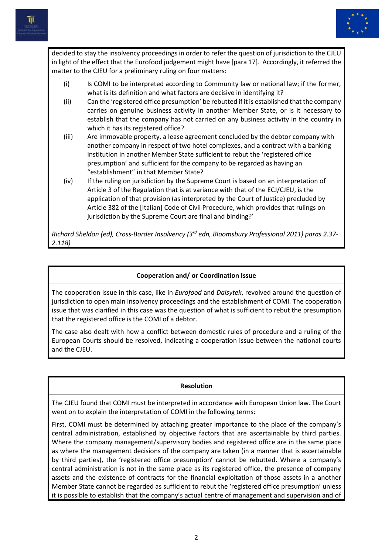



decided to stay the insolvency proceedings in order to refer the question of jurisdiction to the CJEU in light of the effect that the Eurofood judgement might have [para 17]. Accordingly, it referred the matter to the CJEU for a preliminary ruling on four matters:

- (i) Is COMI to be interpreted according to Community law or national law; if the former, what is its definition and what factors are decisive in identifying it?
- (ii) Can the 'registered office presumption' be rebutted if it is established that the company carries on genuine business activity in another Member State, or is it necessary to establish that the company has not carried on any business activity in the country in which it has its registered office?
- (iii) Are immovable property, a lease agreement concluded by the debtor company with another company in respect of two hotel complexes, and a contract with a banking institution in another Member State sufficient to rebut the 'registered office presumption' and sufficient for the company to be regarded as having an "establishment" in that Member State?
- (iv) If the ruling on jurisdiction by the Supreme Court is based on an interpretation of Article 3 of the Regulation that is at variance with that of the ECJ/CJEU, is the application of that provision (as interpreted by the Court of Justice) precluded by Article 382 of the [Italian] Code of Civil Procedure, which provides that rulings on jurisdiction by the Supreme Court are final and binding?'

*Richard Sheldon (ed), Cross-Border Insolvency (3rd edn, Bloomsbury Professional 2011) paras 2.37- 2.118)*

## **Cooperation and/ or Coordination Issue**

The cooperation issue in this case, like in *Eurofood* and *Daisytek*, revolved around the question of jurisdiction to open main insolvency proceedings and the establishment of COMI. The cooperation issue that was clarified in this case was the question of what is sufficient to rebut the presumption that the registered office is the COMI of a debtor.

The case also dealt with how a conflict between domestic rules of procedure and a ruling of the European Courts should be resolved, indicating a cooperation issue between the national courts and the CJEU.

#### **Resolution**

The CJEU found that COMI must be interpreted in accordance with European Union law. The Court went on to explain the interpretation of COMI in the following terms:

First, COMI must be determined by attaching greater importance to the place of the company's central administration, established by objective factors that are ascertainable by third parties. Where the company management/supervisory bodies and registered office are in the same place as where the management decisions of the company are taken (in a manner that is ascertainable by third parties), the 'registered office presumption' cannot be rebutted. Where a company's central administration is not in the same place as its registered office, the presence of company assets and the existence of contracts for the financial exploitation of those assets in a another Member State cannot be regarded as sufficient to rebut the 'registered office presumption' unless it is possible to establish that the company's actual centre of management and supervision and of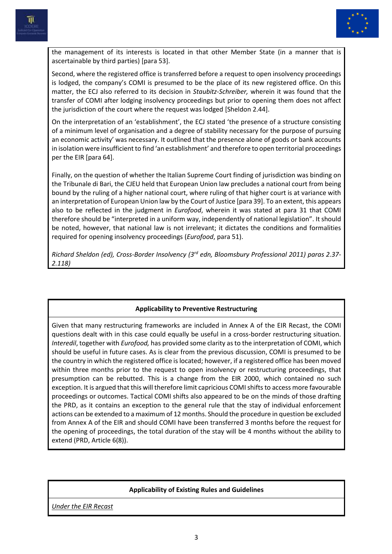



the management of its interests is located in that other Member State (in a manner that is ascertainable by third parties) [para 53].

Second, where the registered office is transferred before a request to open insolvency proceedings is lodged, the company's COMI is presumed to be the place of its new registered office. On this matter, the ECJ also referred to its decision in *Staubitz-Schreiber,* wherein it was found that the transfer of COMI after lodging insolvency proceedings but prior to opening them does not affect the jurisdiction of the court where the request was lodged [Sheldon 2.44].

On the interpretation of an 'establishment', the ECJ stated 'the presence of a structure consisting of a minimum level of organisation and a degree of stability necessary for the purpose of pursuing an economic activity' was necessary. It outlined that the presence alone of goods or bank accounts in isolation were insufficient to find 'an establishment' and therefore to open territorial proceedings per the EIR [para 64].

Finally, on the question of whether the Italian Supreme Court finding of jurisdiction was binding on the Tribunale di Bari, the CJEU held that European Union law precludes a national court from being bound by the ruling of a higher national court, where ruling of that higher court is at variance with an interpretation of European Union law by the Court of Justice [para 39]. To an extent, this appears also to be reflected in the judgment in *Eurofood*, wherein it was stated at para 31 that COMI therefore should be "interpreted in a uniform way, independently of national legislation". It should be noted, however, that national law is not irrelevant; it dictates the conditions and formalities required for opening insolvency proceedings (*Eurofood*, para 51).

*Richard Sheldon (ed), Cross-Border Insolvency (3rd edn, Bloomsbury Professional 2011) paras 2.37- 2.118)*

## **Applicability to Preventive Restructuring**

Given that many restructuring frameworks are included in Annex A of the EIR Recast, the COMI questions dealt with in this case could equally be useful in a cross-border restructuring situation. *Interedil*, together with *Eurofood,* has provided some clarity as to the interpretation of COMI, which should be useful in future cases. As is clear from the previous discussion, COMI is presumed to be the country in which the registered office is located; however, if a registered office has been moved within three months prior to the request to open insolvency or restructuring proceedings, that presumption can be rebutted. This is a change from the EIR 2000, which contained no such exception. It is argued that this will therefore limit capricious COMI shifts to access more favourable proceedings or outcomes. Tactical COMI shifts also appeared to be on the minds of those drafting the PRD, as it contains an exception to the general rule that the stay of individual enforcement actions can be extended to a maximum of 12 months. Should the procedure in question be excluded from Annex A of the EIR and should COMI have been transferred 3 months before the request for the opening of proceedings, the total duration of the stay will be 4 months without the ability to extend (PRD, Article 6(8)).

## **Applicability of Existing Rules and Guidelines**

*Under the EIR Recast*